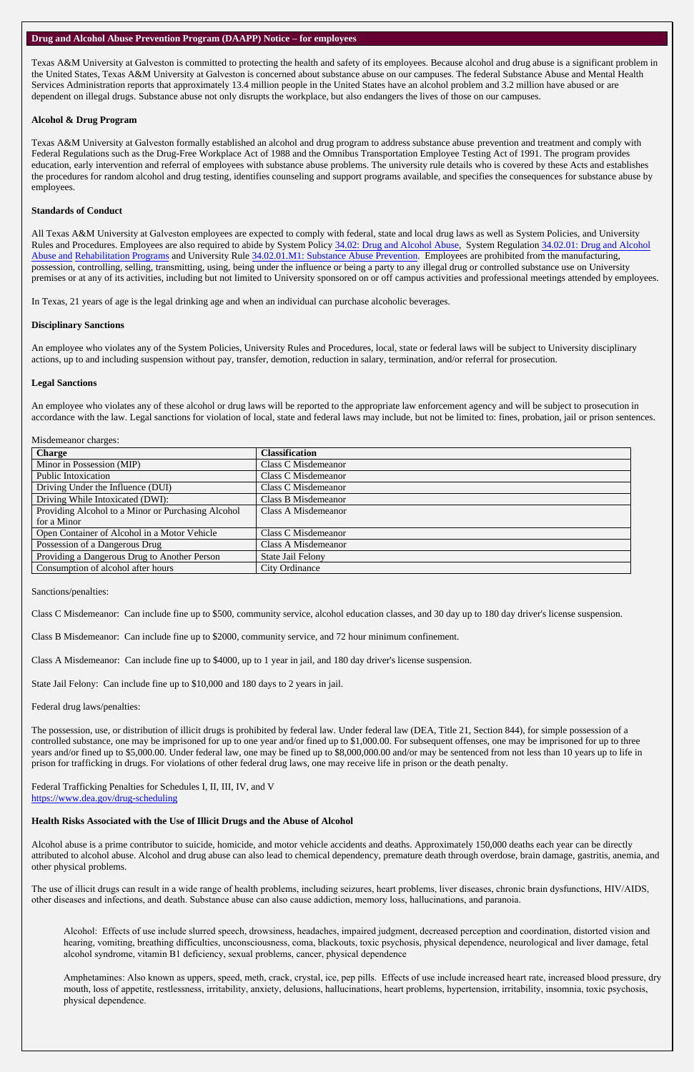#### **Drug and Alcohol Abuse Prevention Program (DAAPP) Notice – for employees**

Texas A&M University at Galveston is committed to protecting the health and safety of its employees. Because alcohol and drug abuse is a significant problem in the United States, Texas A&M University at Galveston is concerned about substance abuse on our campuses. The federal Substance Abuse and Mental Health Services Administration reports that approximately 13.4 million people in the United States have an alcohol problem and 3.2 million have abused or are dependent on illegal drugs. Substance abuse not only disrupts the workplace, but also endangers the lives of those on our campuses.

### **Alcohol & Drug Program**

Texas A&M University at Galveston formally established an alcohol and drug program to address substance abuse prevention and treatment and comply with Federal Regulations such as the Drug-Free Workplace Act of 1988 and the Omnibus Transportation Employee Testing Act of 1991. The program provides education, early intervention and referral of employees with substance abuse problems. The university rule details who is covered by these Acts and establishes the procedures for random alcohol and drug testing, identifies counseling and support programs available, and specifies the consequences for substance abuse by employees.

### **Standards of Conduct**

All Texas A&M University at Galveston employees are expected to comply with federal, state and local drug laws as well as System Policies, and University Rules and Procedures. Employees are also required to abide by System Policy [34.02: Drug and Alcohol Abuse,](http://policies.tamus.edu/34-02.pdf) System Regulation 34.02.01: Drug and Alcohol [Abuse and Rehabilitation Programs](https://policies.tamus.edu/34-02-01.pdf) and University Rule [34.02.01.M1: Substance Abuse Prevention.](http://rules-saps.tamu.edu/PDFs/34.02.01.M1.pdf) Employees are prohibited from the manufacturing, possession, controlling, selling, transmitting, using, being under the influence or being a party to any illegal drug or controlled substance use on University premises or at any of its activities, including but not limited to University sponsored on or off campus activities and professional meetings attended by employees.

In Texas, 21 years of age is the legal drinking age and when an individual can purchase alcoholic beverages.

### **Disciplinary Sanctions**

An employee who violates any of the System Policies, University Rules and Procedures, local, state or federal laws will be subject to University disciplinary actions, up to and including suspension without pay, transfer, demotion, reduction in salary, termination, and/or referral for prosecution.

### **Legal Sanctions**

An employee who violates any of these alcohol or drug laws will be reported to the appropriate law enforcement agency and will be subject to prosecution in accordance with the law. Legal sanctions for violation of local, state and federal laws may include, but not be limited to: fines, probation, jail or prison sentences.

### Misdemeanor charges:

| <b>Charge</b>                                      | <b>Classification</b>    |
|----------------------------------------------------|--------------------------|
| Minor in Possession (MIP)                          | Class C Misdemeanor      |
| Public Intoxication                                | Class C Misdemeanor      |
| Driving Under the Influence (DUI)                  | Class C Misdemeanor      |
| Driving While Intoxicated (DWI):                   | Class B Misdemeanor      |
| Providing Alcohol to a Minor or Purchasing Alcohol | Class A Misdemeanor      |
| for a Minor                                        |                          |
| Open Container of Alcohol in a Motor Vehicle       | Class C Misdemeanor      |
| Possession of a Dangerous Drug                     | Class A Misdemeanor      |
| Providing a Dangerous Drug to Another Person       | <b>State Jail Felony</b> |
| Consumption of alcohol after hours                 | <b>City Ordinance</b>    |

Sanctions/penalties:

Class C Misdemeanor: Can include fine up to \$500, community service, alcohol education classes, and 30 day up to 180 day driver's license suspension.

Class B Misdemeanor: Can include fine up to \$2000, community service, and 72 hour minimum confinement.

Class A Misdemeanor: Can include fine up to \$4000, up to 1 year in jail, and 180 day driver's license suspension.

State Jail Felony: Can include fine up to \$10,000 and 180 days to 2 years in jail.

Federal drug laws/penalties:

The possession, use, or distribution of illicit drugs is prohibited by federal law. Under federal law (DEA, Title 21, Section 844), for simple possession of a controlled substance, one may be imprisoned for up to one year and/or fined up to \$1,000.00. For subsequent offenses, one may be imprisoned for up to three years and/or fined up to \$5,000.00. Under federal law, one may be fined up to \$8,000,000.00 and/or may be sentenced from not less than 10 years up to life in prison for trafficking in drugs. For violations of other federal drug laws, one may receive life in prison or the death penalty.

Federal Trafficking Penalties for Schedules I, II, III, IV, and V

<https://www.dea.gov/drug-scheduling>

## **Health Risks Associated with the Use of Illicit Drugs and the Abuse of Alcohol**

Alcohol abuse is a prime contributor to suicide, homicide, and motor vehicle accidents and deaths. Approximately 150,000 deaths each year can be directly attributed to alcohol abuse. Alcohol and drug abuse can also lead to chemical dependency, premature death through overdose, brain damage, gastritis, anemia, and other physical problems.

The use of illicit drugs can result in a wide range of health problems, including seizures, heart problems, liver diseases, chronic brain dysfunctions, HIV/AIDS, other diseases and infections, and death. Substance abuse can also cause addiction, memory loss, hallucinations, and paranoia.

Alcohol: Effects of use include slurred speech, drowsiness, headaches, impaired judgment, decreased perception and coordination, distorted vision and hearing, vomiting, breathing difficulties, unconsciousness, coma, blackouts, toxic psychosis, physical dependence, neurological and liver damage, fetal alcohol syndrome, vitamin B1 deficiency, sexual problems, cancer, physical dependence

Amphetamines: Also known as uppers, speed, meth, crack, crystal, ice, pep pills. Effects of use include increased heart rate, increased blood pressure, dry mouth, loss of appetite, restlessness, irritability, anxiety, delusions, hallucinations, heart problems, hypertension, irritability, insomnia, toxic psychosis, physical dependence.